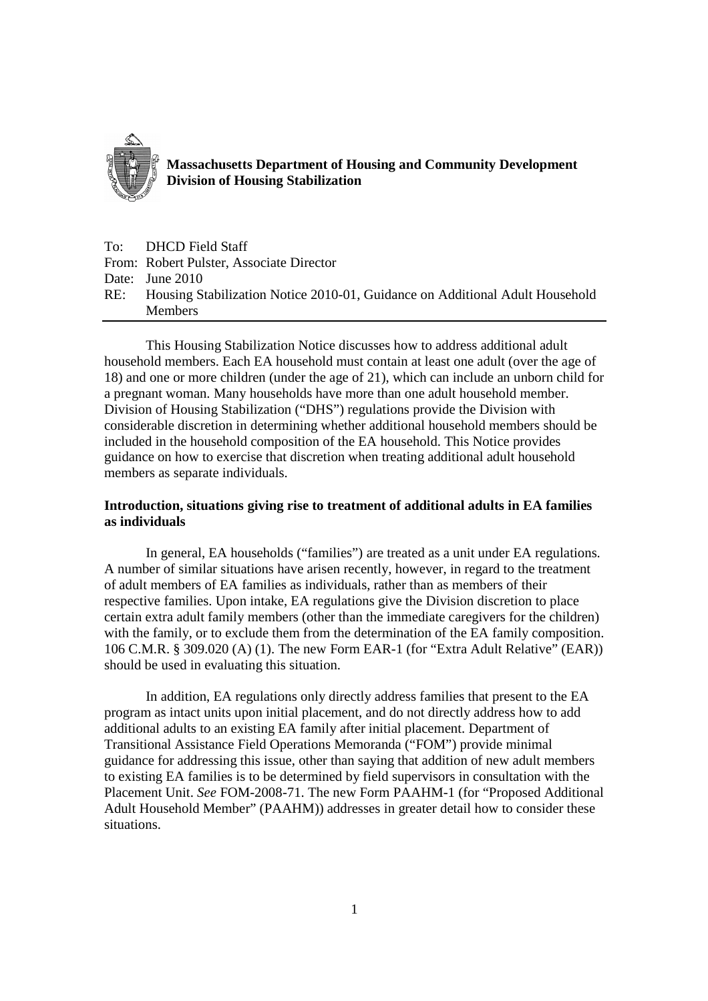

**Massachusetts Department of Housing and Community Development Division of Housing Stabilization**

To: DHCD Field Staff From: Robert Pulster, Associate Director Date: June 2010 RE: Housing Stabilization Notice 2010-01, Guidance on Additional Adult Household Members

This Housing Stabilization Notice discusses how to address additional adult household members. Each EA household must contain at least one adult (over the age of 18) and one or more children (under the age of 21), which can include an unborn child for a pregnant woman. Many households have more than one adult household member. Division of Housing Stabilization ("DHS") regulations provide the Division with considerable discretion in determining whether additional household members should be included in the household composition of the EA household. This Notice provides guidance on how to exercise that discretion when treating additional adult household members as separate individuals.

## **Introduction, situations giving rise to treatment of additional adults in EA families as individuals**

In general, EA households ("families") are treated as a unit under EA regulations. A number of similar situations have arisen recently, however, in regard to the treatment of adult members of EA families as individuals, rather than as members of their respective families. Upon intake, EA regulations give the Division discretion to place certain extra adult family members (other than the immediate caregivers for the children) with the family, or to exclude them from the determination of the EA family composition. 106 C.M.R. § 309.020 (A) (1). The new Form EAR-1 (for "Extra Adult Relative" (EAR)) should be used in evaluating this situation.

In addition, EA regulations only directly address families that present to the EA program as intact units upon initial placement, and do not directly address how to add additional adults to an existing EA family after initial placement. Department of Transitional Assistance Field Operations Memoranda ("FOM") provide minimal guidance for addressing this issue, other than saying that addition of new adult members to existing EA families is to be determined by field supervisors in consultation with the Placement Unit. *See* FOM-2008-71. The new Form PAAHM-1 (for "Proposed Additional Adult Household Member" (PAAHM)) addresses in greater detail how to consider these situations.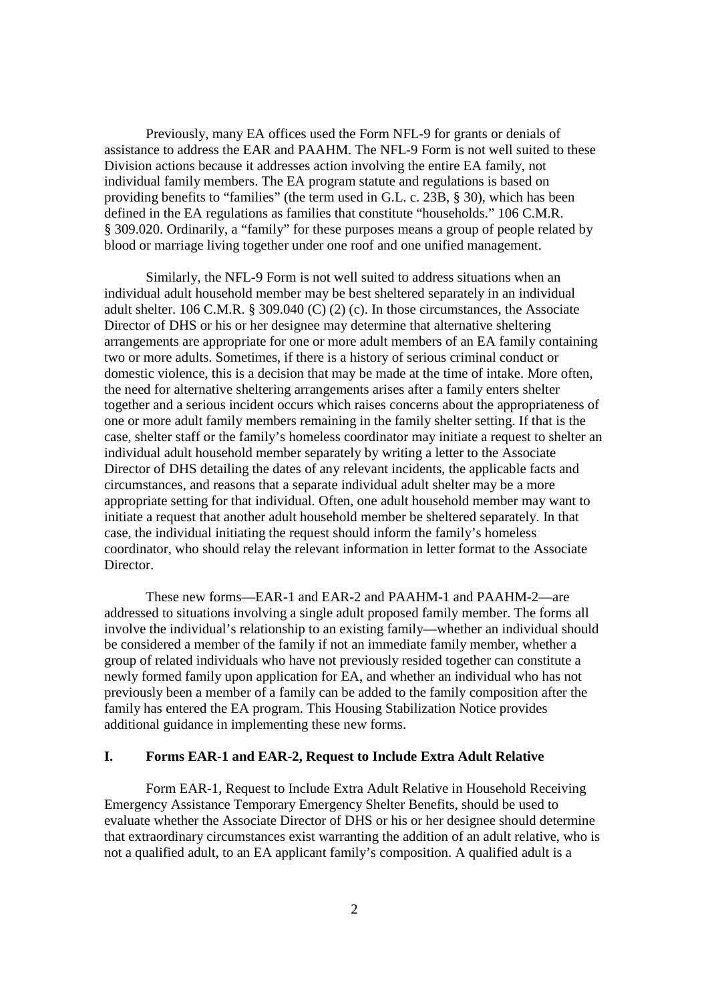Previously, many EA offices used the Form NFL-9 for grants or denials of assistance to address the EAR and PAAHM. The NFL-9 Form is not well suited to these Division actions because it addresses action involving the entire EA family, not individual family members. The EA program statute and regulations is based on providing benefits to "families" (the term used in G.L. c. 23B, § 30), which has been defined in the EA regulations as families that constitute "households." 106 C.M.R. § 309.020. Ordinarily, a "family" for these purposes means a group of people related by blood or marriage living together under one roof and one unified management.

Similarly, the NFL-9 Form is not well suited to address situations when an individual adult household member may be best sheltered separately in an individual adult shelter. 106 C.M.R. § 309.040 (C) (2) (c). In those circumstances, the Associate Director of DHS or his or her designee may determine that alternative sheltering arrangements are appropriate for one or more adult members of an EA family containing two or more adults. Sometimes, if there is a history of serious criminal conduct or domestic violence, this is a decision that may be made at the time of intake. More often, the need for alternative sheltering arrangements arises after a family enters shelter together and a serious incident occurs which raises concerns about the appropriateness of one or more adult family members remaining in the family shelter setting. If that is the case, shelter staff or the family's homeless coordinator may initiate a request to shelter an individual adult household member separately by writing a letter to the Associate Director of DHS detailing the dates of any relevant incidents, the applicable facts and circumstances, and reasons that a separate individual adult shelter may be a more appropriate setting for that individual. Often, one adult household member may want to initiate a request that another adult household member be sheltered separately. In that case, the individual initiating the request should inform the family's homeless coordinator, who should relay the relevant information in letter format to the Associate Director.

These new forms—EAR-1 and EAR-2 and PAAHM-1 and PAAHM-2—are addressed to situations involving a single adult proposed family member. The forms all involve the individual's relationship to an existing family—whether an individual should be considered a member of the family if not an immediate family member, whether a group of related individuals who have not previously resided together can constitute a newly formed family upon application for EA, and whether an individual who has not previously been a member of a family can be added to the family composition after the family has entered the EA program. This Housing Stabilization Notice provides additional guidance in implementing these new forms.

## **I. Forms EAR-1 and EAR-2, Request to Include Extra Adult Relative**

Form EAR-1, Request to Include Extra Adult Relative in Household Receiving Emergency Assistance Temporary Emergency Shelter Benefits, should be used to evaluate whether the Associate Director of DHS or his or her designee should determine that extraordinary circumstances exist warranting the addition of an adult relative, who is not a qualified adult, to an EA applicant family's composition. A qualified adult is a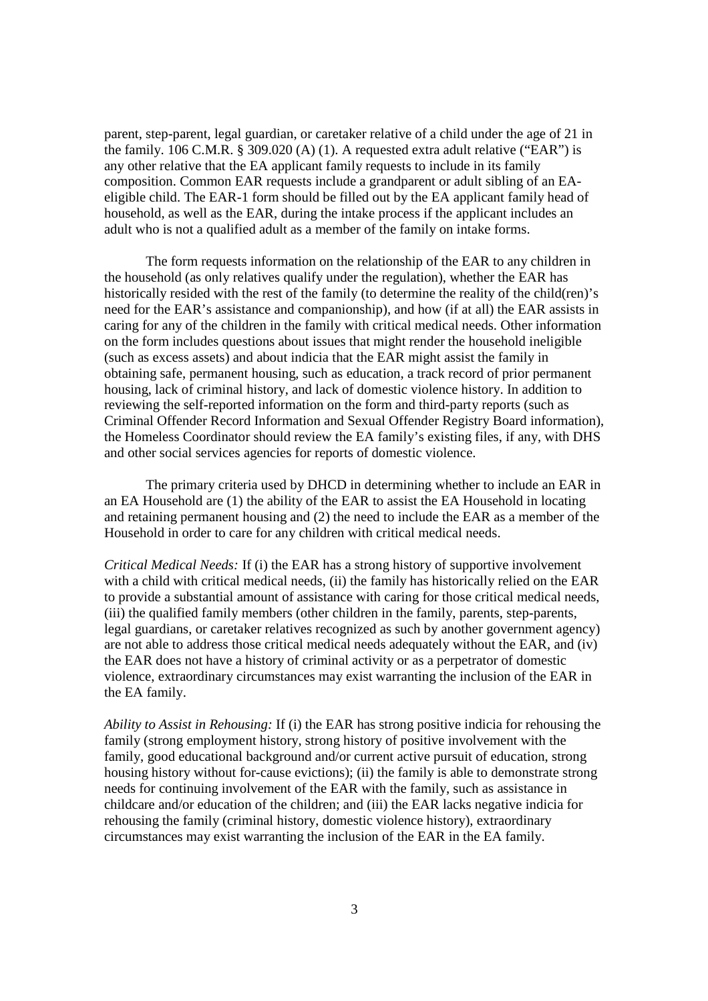parent, step-parent, legal guardian, or caretaker relative of a child under the age of 21 in the family. 106 C.M.R. § 309.020 (A) (1). A requested extra adult relative ("EAR") is any other relative that the EA applicant family requests to include in its family composition. Common EAR requests include a grandparent or adult sibling of an EAeligible child. The EAR-1 form should be filled out by the EA applicant family head of household, as well as the EAR, during the intake process if the applicant includes an adult who is not a qualified adult as a member of the family on intake forms.

The form requests information on the relationship of the EAR to any children in the household (as only relatives qualify under the regulation), whether the EAR has historically resided with the rest of the family (to determine the reality of the child(ren)'s need for the EAR's assistance and companionship), and how (if at all) the EAR assists in caring for any of the children in the family with critical medical needs. Other information on the form includes questions about issues that might render the household ineligible (such as excess assets) and about indicia that the EAR might assist the family in obtaining safe, permanent housing, such as education, a track record of prior permanent housing, lack of criminal history, and lack of domestic violence history. In addition to reviewing the self-reported information on the form and third-party reports (such as Criminal Offender Record Information and Sexual Offender Registry Board information), the Homeless Coordinator should review the EA family's existing files, if any, with DHS and other social services agencies for reports of domestic violence.

The primary criteria used by DHCD in determining whether to include an EAR in an EA Household are (1) the ability of the EAR to assist the EA Household in locating and retaining permanent housing and (2) the need to include the EAR as a member of the Household in order to care for any children with critical medical needs.

*Critical Medical Needs:* If (i) the EAR has a strong history of supportive involvement with a child with critical medical needs, (ii) the family has historically relied on the EAR to provide a substantial amount of assistance with caring for those critical medical needs, (iii) the qualified family members (other children in the family, parents, step-parents, legal guardians, or caretaker relatives recognized as such by another government agency) are not able to address those critical medical needs adequately without the EAR, and (iv) the EAR does not have a history of criminal activity or as a perpetrator of domestic violence, extraordinary circumstances may exist warranting the inclusion of the EAR in the EA family.

*Ability to Assist in Rehousing:* If (i) the EAR has strong positive indicia for rehousing the family (strong employment history, strong history of positive involvement with the family, good educational background and/or current active pursuit of education, strong housing history without for-cause evictions); (ii) the family is able to demonstrate strong needs for continuing involvement of the EAR with the family, such as assistance in childcare and/or education of the children; and (iii) the EAR lacks negative indicia for rehousing the family (criminal history, domestic violence history), extraordinary circumstances may exist warranting the inclusion of the EAR in the EA family.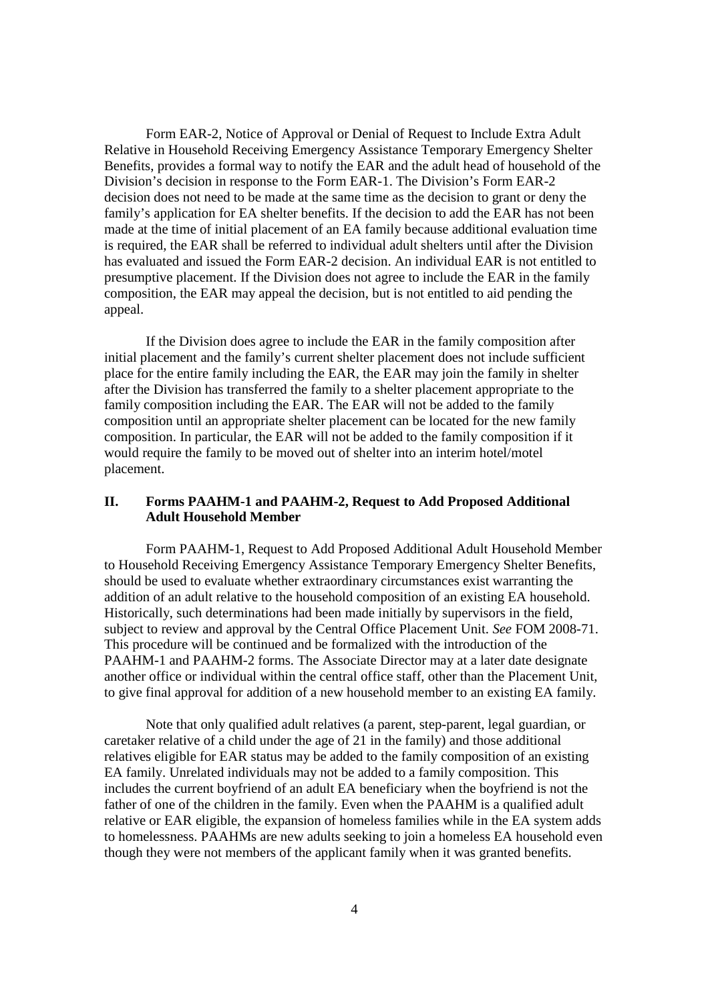Form EAR-2, Notice of Approval or Denial of Request to Include Extra Adult Relative in Household Receiving Emergency Assistance Temporary Emergency Shelter Benefits, provides a formal way to notify the EAR and the adult head of household of the Division's decision in response to the Form EAR-1. The Division's Form EAR-2 decision does not need to be made at the same time as the decision to grant or deny the family's application for EA shelter benefits. If the decision to add the EAR has not been made at the time of initial placement of an EA family because additional evaluation time is required, the EAR shall be referred to individual adult shelters until after the Division has evaluated and issued the Form EAR-2 decision. An individual EAR is not entitled to presumptive placement. If the Division does not agree to include the EAR in the family composition, the EAR may appeal the decision, but is not entitled to aid pending the appeal.

If the Division does agree to include the EAR in the family composition after initial placement and the family's current shelter placement does not include sufficient place for the entire family including the EAR, the EAR may join the family in shelter after the Division has transferred the family to a shelter placement appropriate to the family composition including the EAR. The EAR will not be added to the family composition until an appropriate shelter placement can be located for the new family composition. In particular, the EAR will not be added to the family composition if it would require the family to be moved out of shelter into an interim hotel/motel placement.

## **II. Forms PAAHM-1 and PAAHM-2, Request to Add Proposed Additional Adult Household Member**

Form PAAHM-1, Request to Add Proposed Additional Adult Household Member to Household Receiving Emergency Assistance Temporary Emergency Shelter Benefits, should be used to evaluate whether extraordinary circumstances exist warranting the addition of an adult relative to the household composition of an existing EA household. Historically, such determinations had been made initially by supervisors in the field, subject to review and approval by the Central Office Placement Unit. *See* FOM 2008-71. This procedure will be continued and be formalized with the introduction of the PAAHM-1 and PAAHM-2 forms. The Associate Director may at a later date designate another office or individual within the central office staff, other than the Placement Unit, to give final approval for addition of a new household member to an existing EA family.

Note that only qualified adult relatives (a parent, step-parent, legal guardian, or caretaker relative of a child under the age of 21 in the family) and those additional relatives eligible for EAR status may be added to the family composition of an existing EA family. Unrelated individuals may not be added to a family composition. This includes the current boyfriend of an adult EA beneficiary when the boyfriend is not the father of one of the children in the family. Even when the PAAHM is a qualified adult relative or EAR eligible, the expansion of homeless families while in the EA system adds to homelessness. PAAHMs are new adults seeking to join a homeless EA household even though they were not members of the applicant family when it was granted benefits.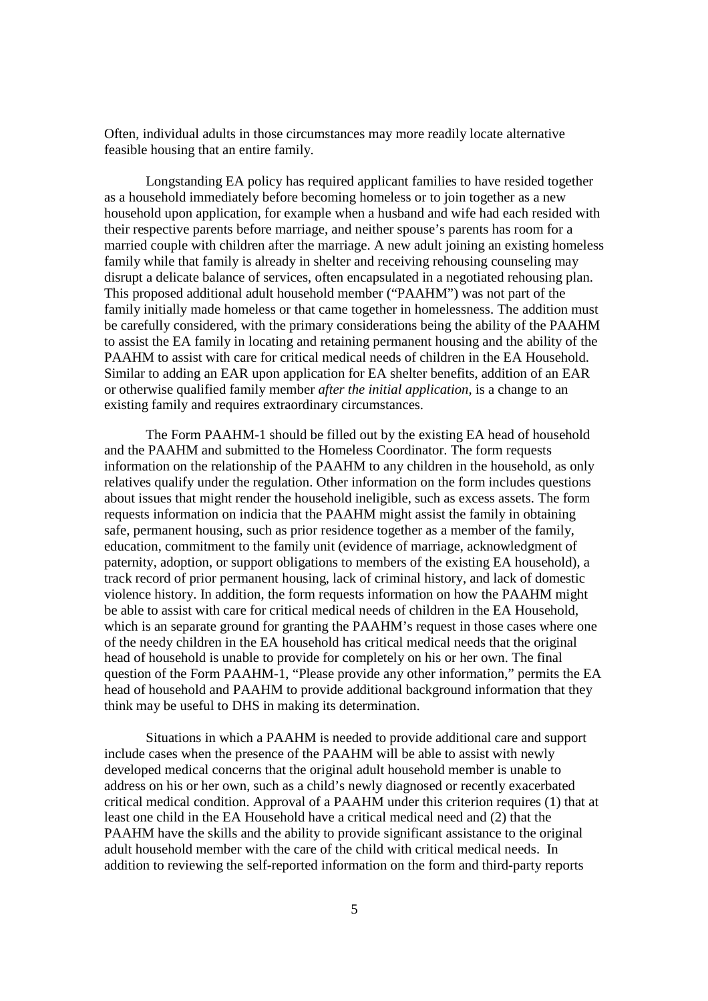Often, individual adults in those circumstances may more readily locate alternative feasible housing that an entire family.

Longstanding EA policy has required applicant families to have resided together as a household immediately before becoming homeless or to join together as a new household upon application, for example when a husband and wife had each resided with their respective parents before marriage, and neither spouse's parents has room for a married couple with children after the marriage. A new adult joining an existing homeless family while that family is already in shelter and receiving rehousing counseling may disrupt a delicate balance of services, often encapsulated in a negotiated rehousing plan. This proposed additional adult household member ("PAAHM") was not part of the family initially made homeless or that came together in homelessness. The addition must be carefully considered, with the primary considerations being the ability of the PAAHM to assist the EA family in locating and retaining permanent housing and the ability of the PAAHM to assist with care for critical medical needs of children in the EA Household. Similar to adding an EAR upon application for EA shelter benefits, addition of an EAR or otherwise qualified family member *after the initial application,* is a change to an existing family and requires extraordinary circumstances.

The Form PAAHM-1 should be filled out by the existing EA head of household and the PAAHM and submitted to the Homeless Coordinator. The form requests information on the relationship of the PAAHM to any children in the household, as only relatives qualify under the regulation. Other information on the form includes questions about issues that might render the household ineligible, such as excess assets. The form requests information on indicia that the PAAHM might assist the family in obtaining safe, permanent housing, such as prior residence together as a member of the family, education, commitment to the family unit (evidence of marriage, acknowledgment of paternity, adoption, or support obligations to members of the existing EA household), a track record of prior permanent housing, lack of criminal history, and lack of domestic violence history. In addition, the form requests information on how the PAAHM might be able to assist with care for critical medical needs of children in the EA Household, which is an separate ground for granting the PAAHM's request in those cases where one of the needy children in the EA household has critical medical needs that the original head of household is unable to provide for completely on his or her own. The final question of the Form PAAHM-1, "Please provide any other information," permits the EA head of household and PAAHM to provide additional background information that they think may be useful to DHS in making its determination.

Situations in which a PAAHM is needed to provide additional care and support include cases when the presence of the PAAHM will be able to assist with newly developed medical concerns that the original adult household member is unable to address on his or her own, such as a child's newly diagnosed or recently exacerbated critical medical condition. Approval of a PAAHM under this criterion requires (1) that at least one child in the EA Household have a critical medical need and (2) that the PAAHM have the skills and the ability to provide significant assistance to the original adult household member with the care of the child with critical medical needs. In addition to reviewing the self-reported information on the form and third-party reports